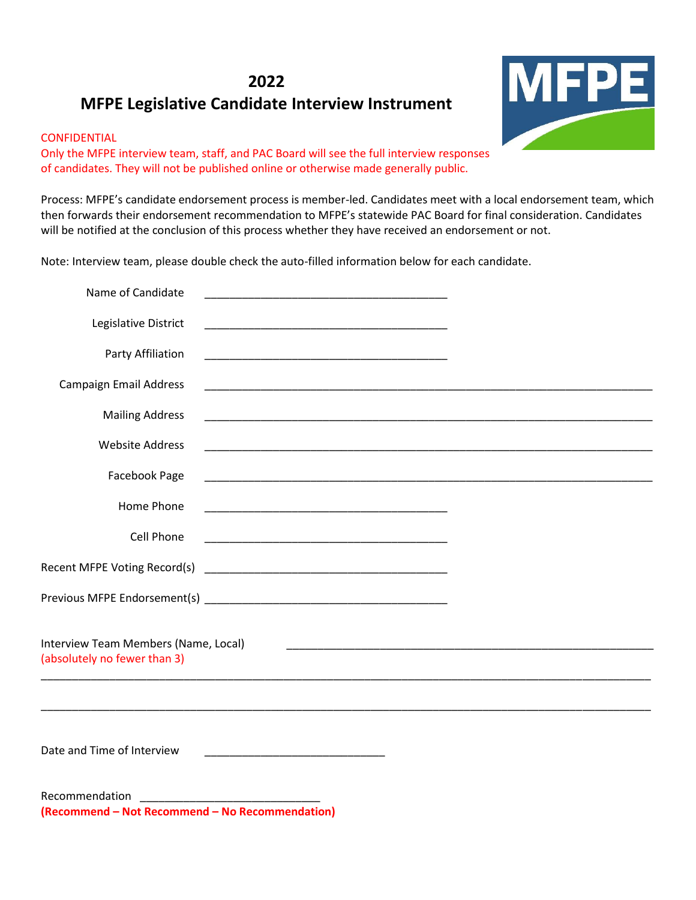# **2022**

# **MFPE Legislative Candidate Interview Instrument**

# CONFIDENTIAL

Only the MFPE interview team, staff, and PAC Board will see the full interview responses of candidates. They will not be published online or otherwise made generally public.

Process: MFPE's candidate endorsement process is member-led. Candidates meet with a local endorsement team, which then forwards their endorsement recommendation to MFPE's statewide PAC Board for final consideration. Candidates will be notified at the conclusion of this process whether they have received an endorsement or not.

Note: Interview team, please double check the auto-filled information below for each candidate.

| Name of Candidate                                                    | <u> 1989 - Johann John Stone, mars eta biztanleria (h. 1989).</u>                                                             |  |
|----------------------------------------------------------------------|-------------------------------------------------------------------------------------------------------------------------------|--|
| Legislative District                                                 | <u> 1989 - Johann John Stone, mars et al. 1989 - John Stone, mars et al. 1989 - John Stone, mars et al. 1989 - John Stone</u> |  |
| Party Affiliation                                                    |                                                                                                                               |  |
| Campaign Email Address                                               |                                                                                                                               |  |
| <b>Mailing Address</b>                                               |                                                                                                                               |  |
| <b>Website Address</b>                                               |                                                                                                                               |  |
| Facebook Page                                                        |                                                                                                                               |  |
| Home Phone                                                           | <u> 1989 - Johann John Stone, mars et al. 1989 - John Stone, mars et al. 1989 - John Stone, mars et al. 1989 - Joh</u>        |  |
| Cell Phone                                                           | <u> 1989 - Johann John Harry Harry Harry Harry Harry Harry Harry Harry Harry Harry Harry Harry Harry Harry Harry H</u>        |  |
|                                                                      |                                                                                                                               |  |
|                                                                      |                                                                                                                               |  |
| Interview Team Members (Name, Local)<br>(absolutely no fewer than 3) | <u> 1989 - Johann Harry Harry Harry Harry Harry Harry Harry Harry Harry Harry Harry Harry Harry Harry Harry Harry</u>         |  |
| Date and Time of Interview                                           | <u> 1989 - Johann John Stein, mars an deutscher Stein und der Stein und der Stein und der Stein und der Stein und</u>         |  |
| Recommendation<br>(Recommend - Not Recommend - No Recommendation)    | <u> 1999 - Jan James Barnett, fransk politik (d. 19</u>                                                                       |  |

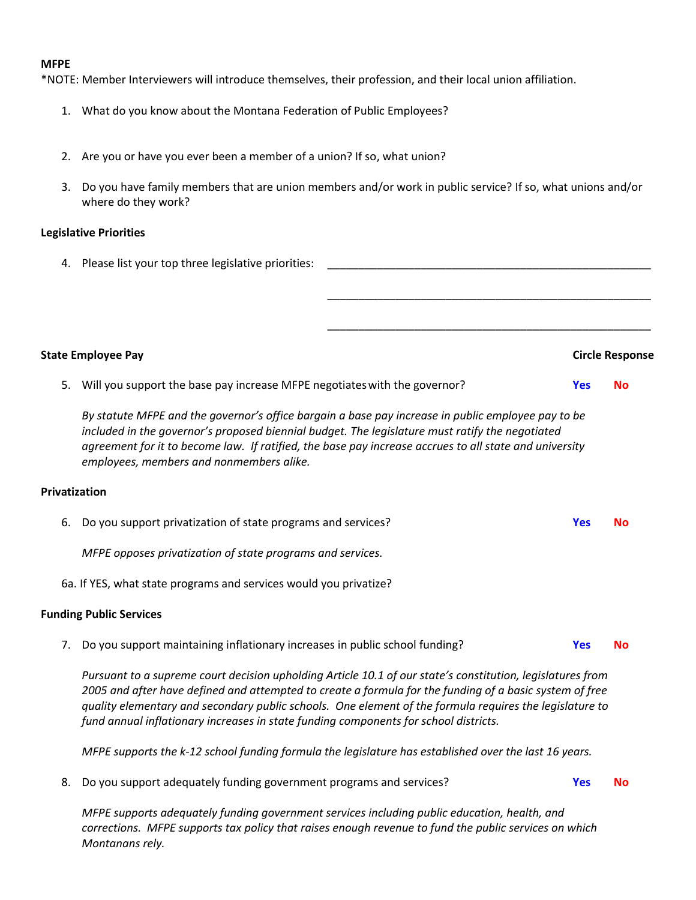#### **MFPE**

\*NOTE: Member Interviewers will introduce themselves, their profession, and their local union affiliation.

- 1. What do you know about the Montana Federation of Public Employees?
- 2. Are you or have you ever been a member of a union? If so, what union?
- 3. Do you have family members that are union members and/or work in public service? If so, what unions and/or where do they work?

### **Legislative Priorities**

| 4. Please list your top three legislative priorities: |  |
|-------------------------------------------------------|--|
|                                                       |  |
|                                                       |  |
|                                                       |  |

#### **State Employee Pay Circle Response**

\_\_\_\_\_\_\_\_\_\_\_\_\_\_\_\_\_\_\_\_\_\_\_\_\_\_\_\_\_\_\_\_\_\_\_\_\_\_\_\_\_\_\_\_\_\_\_\_\_\_\_\_

5. Will you support the base pay increase MFPE negotiateswith the governor? **Yes No**

*By statute MFPE and the governor's office bargain a base pay increase in public employee pay to be included in the governor's proposed biennial budget. The legislature must ratify the negotiated agreement for it to become law. If ratified, the base pay increase accrues to all state and university employees, members and nonmembers alike.*

#### **Privatization**

- 6. Do you support privatization of state programs and services? **Yes No** *MFPE opposes privatization of state programs and services.*
- 6a. If YES, what state programs and services would you privatize?

### **Funding Public Services**

7. Do you support maintaining inflationary increases in public school funding? **Yes No**

*Pursuant to a supreme court decision upholding Article 10.1 of our state's constitution, legislatures from 2005 and after have defined and attempted to create a formula for the funding of a basic system of free quality elementary and secondary public schools. One element of the formula requires the legislature to fund annual inflationary increases in state funding components for school districts.* 

*MFPE supports the k-12 school funding formula the legislature has established over the last 16 years.*

8. Do you support adequately funding government programs and services? **Yes No**

*MFPE supports adequately funding government services including public education, health, and corrections. MFPE supports tax policy that raises enough revenue to fund the public services on which Montanans rely.*